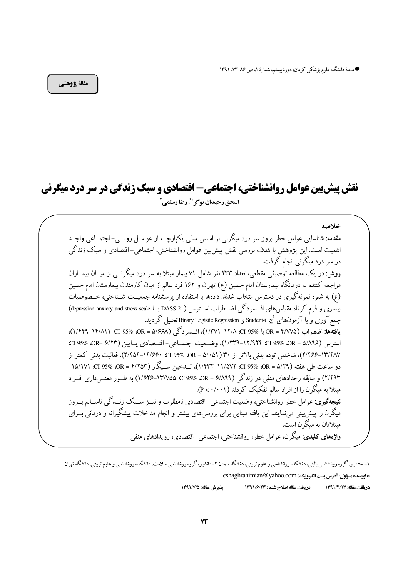● مجلة دانشگاه علوم پزشكي كرمان، دورة بيستم، شمارة ١، ص ٨۶–٧٣، ١٣٩١

مقالة يژوهشي

# نقش پیش بین عوامل روانشناختی، اجتماعی- اقتصادی و سبک زندگی در سر درد میگرنی اسحق رحيميان بوگر <sup>19</sup>، رضا رستمي<sup>1</sup>

خلاصه مقدمه: شناسایی عوامل خطر بروز سر درد میگرنی بر اساس مدلی یکپارچــه از عوامــل روانــی-اجتمـــاعی واجــد اهمیت است. این پژوهش با هدف بررسی نقش پیش بین عوامل روانشناختی، اجتماعی–اقتصادی و سبک زندگی در سر درد میگرنی انجام گرفت. روش: در یک مطالعه توصیفی مقطعی، تعداد ۲۳۳ نفر شامل ۷۱ بیمار مبتلا به سر درد میگرنسی از میسان بیمساران مراجعه کننده به درمانگاه بیمارستان امام حسین (ع) تهران و ۱۶۲ فرد سالم از میان کارمندان بیمارستان امام حسین (ع) به شیوه نمونه گیری در دسترس انتخاب شدند. دادهها با استفاده از پرسشنامه جمعیــت شــناختی، خــصوصیات بیماری و فرم کوتاه مقیاس های افــسردگی اضــطراب اســترس (DASS-21 یــا depression anxiety and stress scale) جمع آوري و با آزمون\امي `Student-t \$` Student-t و Binary Logistic Regression تحليل گرديد. يافتهها: اضطراب (7/W۵ = 0R با %95 x1 +1٢/٨)، افسر دگر (2/۶۶۸ = 0R %95 x1 +1 +11/A). استرس (08\08 0R = 0. 11/4۲۴ CI 195% 0R = 0. 1 1/4۲۴)، وضبعيت اجتمــاعي – اقتــصادي يــايين (07 CI 95% 0R= ۶/۲۳ ٢/٢٨٧–٢/٤۶۶)، شاخص توده بدني بالاتر از ٣٠ (٥١٠٥١)& & x/f>1=10. ٢/٤٥٩-٢/٢)، فعاليت بدني كمتر از دو ساعت طي هفته OR = ۵/۲۹ .CI 95% OR = ۴/۲۵۳ (۱۱/۵۷۲–۱۶۳۲م)، تــدخين ســيگار (۱۵/۱۷۲– CI 95% OR = ۴/۲۵۳– ۲/۴۹۳) و سابقه رخدادهای منفی در زندگی (۶/۸۹۹ = GI 95% ،OR - ۶/۸۹۹–۱/۶۲۶) به طــور معنــی داری افــراد میتلا به میگرن را از افراد سالم تفکیک کردند (P< ۰/۰۰۱). **نتیجهگیری**: عوامل خطر روانشناختی، وضعیت اجتماعی– اقتصادی نامطلوب و نیــز ســبک زنــدگی ناســالم بــروز میگرن را پیش بینی می نمایند. این یافته مبنایی برای بررسی های بیشتر و انجام مداخلات پیشگیرانه و درمانی بــرای مىتلاىان يە مىگە ن است. واژههای کلیدی: میگرن، عوامل خطر، روانشناختی، اجتماعی–اقتصادی، رویدادهای منفی

۱–استادیار، گروه روانشناسی بالینی، دانشکده روانشناسی و علوم تربیتی، دانشگاه سمنان ۲– دانشار سی سلاست، دانشکده روانشناسی و علوم تربیتی، دانشگاه تهران \* نويسنده مسؤول، آدرس پست الكترونيك: eshaghrahimian@yahoo.com

پذیرش مقاله: ۱۳۹۱/۷/۵ در بافت مقاله اصلاح شده : ۱۳۹۱/۶/۲۳ در بافت مقاله: ١٣٩١/٤/١٣٩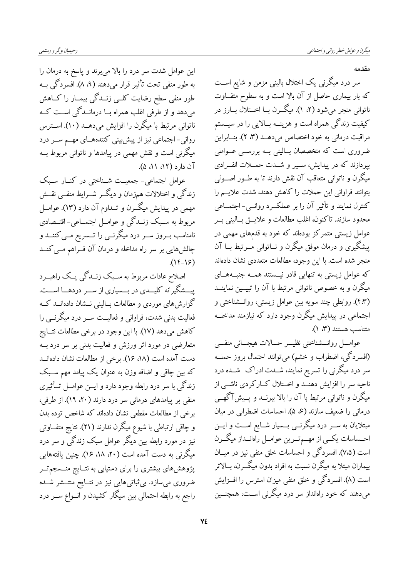مقدمه

سر درد میگرنی یک اختلال بالینی مزمن و شایع اســت که بار بیماری حاصل از آن بالا است و به سطوح متفاوت ناتوانی منجر میشود (۲، ۱). میگــرن بــا اخــتلال بــارز در کیفیت زندگی همراه است و هزینــه بــالایی را در سیــستم مراقبت درمانی به خود اختصاص میدهــد (۳، ۲). بنــابراین ضروری است که متخصصان بــالینی بــه بررســی عــواملی بپردازند که در پیدایش، سـیر و شـدت حمــلات انفــرادی میگرن و ناتوانی متعاقب آن نقش دارند تا به طــور اصـــولی بتوانند فراواني اين حملات را كاهش دهند، شدت علايــم را كنترل نمايند و تأثير آن را بر عملكـرد روانــى- اجتمــاعى محدود سازند. تاكنون، اغلب مطالعات و علايــق بــاليني بــر عوامل زیستی متمرکز بودهاند که خود به قدمهای مهمی در پیشگیری و درمان موفق میگرن و نــاتوانی مــرتبط بــا آن منجر شده است. با این وجود، مطالعات متعددی نشان دادهاند که عوامل زیستی به تنهایی قادر نیستند همــه جنبــههــای میگرن و به خصوص ناتوانی مرتبط با آن را تبیــین نماینــد (۴٫۳). روابطی چند سویه بین عوامل زیستی، روانـشناختی و اجتماعی در پیدایش میگرن وجود دارد که نیازمند مداخلــه متناسب هستند (۳، ۱).

عوامـــل روانــــشناختى نظيـــر حـــالات هيجـــانى منفـــى (افسردگی، اضطراب و خشم) میïتوانند احتمال بروز حملــه سر درد میگرنی را تسریع نمایند، شــدت ادراک شــده درد ناحیه سر را افزایش دهنــد و اخـــتلال کــارکردی ناشــی از میگرن و ناتوانی مرتبط با آن را بالا ببرنــد و پــیشآگهــی درمانی را ضعیف سازند (۶، ۵). احساسات اضطرابی در میان مبتلایان به ســر درد میگرنــی بــسیار شــایع اســت و ایــن احـــساسات یکـــی از مهـــمتـــرین عوامـــل راهانـــداز میگـــرن است (۷٬۵). افسردگی و احساسات خلق منفی نیز در میــان بیماران مبتلا به میگرن نسبت به افراد بدون میگــرن، بــالاتر است (۸). افسردگی و خلق منفی میزان استرس را افــزایش میدهند که خود راهانداز سر درد میگرنی اســت، همچنــین

این عوامل شدت سر درد را بالا می برند و پاسخ به درمان را به طور منفی تحت تأثیر قرار میدهند (۹، ۸). افسردگی بــه طور منفی سطح رضایت کلــی زنــدگی بیمــار را کــاهش میدهد و از طرفی اغلب همراه بــا درمانــدگی اســت کــه ناتوانی مرتبط با میگرن را افزایش میدهــد (۱۰). اســترس روانی-اجتماعی نیز از پیش بینی کنندههـای مهــم ســر درد میگرنی است و نقش مهمی در پیامدها و ناتوانی مربوط بــه آن دار د (۱۲، ۸۱، ۵).

عوامل اجتماعی- جمعیــت شــناختی در کنــار ســبک زندگی و اختلالات همزمان و دیگــر شــرایط منفــی نقــش مهمی در پیدایش میگــرن و تــداوم آن دارد (۱۳). عوامــل مربوط به سـبک زنــدگي و عوامــل اجتمــاعي- اقتــصادي نامناسب بــروز ســر درد میگرنــی را تـــسریع مــی کننـــد و چالشهایی بر سر راه مداخله و درمان آن فــراهم مــی کنــد  $(15-15)$ 

اصلاح عادات مربوط به سـبک زنــدگی یــک راهبــرد پیــــشگیرانه کلیــــدی در بــــسیاری از ســــر دردهــــا اســـت. گزارش های موردی و مطالعات بــالینی نــشان دادهانــد کــه فعالیت بدنی شدت، فراوانی و فعالیــت ســر درد میگرنــی را كاهش مىدهد (١٧). با اين وجود در برخي مطالعات نتــايج متعارضی در مورد اثر ورزش و فعالیت بدنی بر سر درد بــه دست آمده است (۱۸، ۱۶). برخی از مطالعات نشان دادهانــد که بین چاقی و اضافه وزن به عنوان یک پیامد مهم سـبک زندگی با سر درد رابطه وجود دارد و ایــن عوامــل تــأثیری منفی بر پیامدهای درمانی سر درد دارند (۲۰، ۱۹). از طرفی، برخی از مطالعات مقطعی نشان دادهاند که شاخص توده بدن و چاقی ارتباطی با شیوع میگرن ندارند (۲۱). نتایج متفــاوتی نیز در مورد رابطه بین دیگر عوامل سبک زندگی و سر درد میگرنی به دست آمده است (۲۰، ۱۸، ۱۶). چنین یافتههایی پژوهشهای بیشتری را برای دستیابی به نتــایج منــسجم تــر ضروری میسازد. بی ثباتیهایی نیز در نتـایح منتــشر شــده راجع به رابطه احتمالی بین سیگار کشیدن و انــواع ســر درد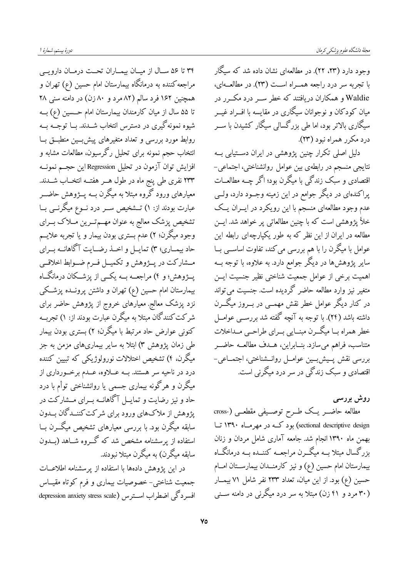وجود دارد (۲۳، ۲۲). در مطالعهای نشان داده شد که سیگار با تجربه سر درد راجعه همــراه اســت (۲۳). در مطالعــهاي، Waldie و همکاران دریافتند که خطر ســر درد مکــر ر در میان کودکان و نوجوانان سیگاری در مقایسه با افــراد غیـــر سیگاری بالاتر بود، اما طی بزرگسالی سیگار کشیدن با ســر درد مکرر همراه نبود (۲۳).

دلیل اصلی تکرار چنین پژوهشی در ایران دستیابی بــه نتایجی منسجم در رابطهی بین عوامل روانشناختی، اجتماعی-اقتصادی و سبک زندگی با میگرن بود؛ اگر چــه مطالعــات پراکندهای در دیگر جوامع در این زمینه وجــود دارد، ولــی عدم وجود مطالعهای منسجم با این رویکرد در ایسران یـک خلأ يژوهشي است كه با چنين مطالعاتي پر خواهد شد. ايــن مطالعه در ایران از این نظر که به طور یکپارچهای رابطه این عوامل با میگرن را با هم بررسی می کند، تفاوت اساســی بــا سایر پژوهشها در دیگر جوامع دارد. به علاوه، با توجه بــه اهمیت برخی از عوامل جمعیت شناختی نظیر جنسیت ایــن متغیر نیز وارد مطالعه حاضر گردیده است. جنسیت می تواند در کنار دیگر عوامل خطر نقش مهمــی در بـــروز میگـــرن داشته باشد (۲۴). با توجه به آنچه گفته شد بررســی عوامــل خطر همراه بــا میگــرن مبنــایي بــراي طراحــي مــداخلات متناسب، فراهم میسازد. بنــابراین، هــدف مطالعــه حاضــر بررسی نقش پسیش بسین عوامــل روانــشناختی، اجتمــاعی-اقتصادی و سبک زندگی در سر درد میگرنی است.

روش بررسی مطالعه حاضــر يــک طــرح توصــيفي مقطعــي (-cross sectional descriptive design) بود کــه در مهرمــاه ۱۳۹۰ تــا بهمن ماه ۱۳۹۰ انجام شد. جامعه آماری شامل مردان و زنان بزرگسال مبتلا بــه میگــرن مراجعــه کننــده بــه درمانگــاه بیمارستان امام حسین (ع) و نیز کارمنــدان بیمارســتان امــام حسین (ع) بود. از این میان، تعداد ۲۳۳ نفر شامل ۷۱ بیمــار (۳۰ مرد و ۴۱ زن) مبتلا به سر درد میگرنی در دامنه ســنی

۳۴ تا ۵۶ سـال از ميـان بيمـاران تحـت درمـان دارويـي مراجعه کننده به درمانگاه بیمارستان امام حسین (ع) تهران و همچنین ۱۶۲ فرد سالم (۸۲ مرد و ۸۰ زن) در دامنه سنی ۲۸ تا ۵۵ سال از میان کارمندان بیمارستان امام حـسین (ع) بــه شیوه نمونهگیری در دسترس انتخاب شــدند. بــا توجــه بــه روابط مورد بررسی و تعداد متغیرهای پیش بسین منطبــق بــا انتخاب حجم نمونه برای تحلیل رگرسیون، مطالعات مشابه و افزایش توان آزمون در تحلیل Regression این حجــم نمونــه ۲۳۳ نفری طی پنج ماه در طول هــر هفتــه انتخــاب شـــدند. معیارهای ورود گروه مبتلا به میگرن بــه پــژوهش حاضــر عبارت بودند از: ۱) تـــشخيص ســـر درد نـــوع ميگرنـــی بــا تشخیص پزشک معالج به عنوان مهــمتــرین مــلاک بــرای وجود میگرن؛ ۲) عدم بستری بودن بیمار و یا تجربه علایــم حاد بیمــاری؛ ٣) تمایــل و اخــذ رضــایت آگاهانــه بــرای مــشاركت در پــژوهش و تكميــل فــرم ضــوابط اخلاقــي پـــژوهش؛ و ۴) مراجعـــه بـــه یکـــی از پزشـــکان درمانگـــاه بیمارستان امام حسین (ع) تهران و داشتن پرونــده پزشــکی نزد پزشک معالج. معیارهای خروج از پژوهش حاضر برای شرکت کنندگان مبتلا به میگرن عبارت بودند از: ۱) تجربــه کنونی عوارض حاد مرتبط با میگرن؛ ۲) بستری بودن بیمار طی زمان پژوهش ۳) ابتلا به سایر بیماریهای مزمن به جز میگرن، ۴) تشخیص اختلالات نورولوژیکی که تبیین کننده درد در ناحیه سر هستند. بــه عـــلاوه، عـــدم برخـــورداری از میگرن و هرگونه بیماری جسمی یا روانشناختی توأم با درد حاد و نیز رضایت و تمایــل آگاهانــه بـــرای مــشارکت در پژوهش از ملاکهای ورود برای شرکت کننــدگان بــدون سابقه میگرن بود. با بررسی معیارهای تشخیص میگـــرن بــا استفاده از پرسشنامه مشخص شد که گــروه شــاهد (بــدون سابقه میگرن) به میگرن میتلا نبودند.

در این یژوهش دادهها با استفاده از پرسشنامه اطلاعــات جمعیت شناختی- خصوصیات بیماری و فرم کوتاه مقیــاس افسر دگی اضطراب استرس (depression anxiety stress scale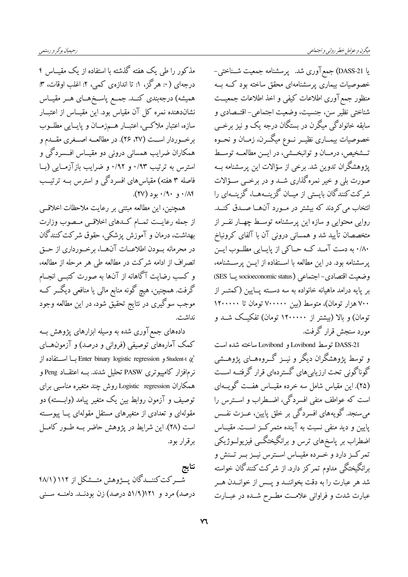رحيميان بوگر و رستمي

مذکور را طی یک هفته گذشته با استفاده از یک مقیــاس ۴ درجهای ( ۰: هرگز، ۱: تا اندازهی کمی، ۲: اغلب اوقات، ۳: همیشه) درجهبندی کنــد. جمــع پاســخهــای هــر مقیــاس نشاندهنده نمره کل آن مقیاس بود. این مقیــاس از اعتبــار سازه، اعتبار ملاکمی، اعتبــار هــمزمــان و پايــايي مطلــوب برخوردار است (٢٧، ٢۶). در مطالعه اصفري مقدم و همکاران ضرایب همسانی درونی دو مقیــاس افــسردگی و استرس به ترتیب ۰/۹۳ و ۰/۹۲ و ضرایب بازآزمایی (بـا فاصله ۳ هفته) مقیاس های افسردگی و استرس بــه ترتیــب  $(1)(\gamma)$  +  $(1)(\gamma)$  +  $(1)(\gamma)$ 

همچنین، این مطالعه مبتنی بر رعایت ملاحظات اخلاقبی از جمله رعایــت تمــام كــدهاى اخلاقــى مــصوب وزارت بهداشت، درمان و آموزش پزشکی، حقوق شرکت کنندگان در محرمانه بــودن اطلاعــات آن@ــا، برخــورداري از حــق انصراف از ادامه شرکت در مطالعه طی هر مرحله از مطالعه، و کسب رضایت آگاهانه از آنها به صورت کتبــی انجــام گرفت. همچنین، هیچ گونه منابع مالی یا منافعی دیگــر کــه موجب سوگیری در نتایج تحقیق شود، در این مطالعه وجود نداشت.

دادههای جمع آوری شده به وسیله ابزارهای پژوهش بــه کمک آمارههای توصیفی (فروانی و درصد) و آزمونهــای و Student-t با اســـتفاده از Enter binary logistic regression بــا اســـتفاده از نرمافزار کامپیوتری PASW تحلیل شدند. بــه اعتقــاد Peng و همکاران Logistic regression روش چند متغیره مناسبی برای توصیف و آزمون روابط بین یک متغیر پیامد (وابــسته) دو مقولهای و تعدادی از متغیرهای مستقل مقولهای یــا پیوســته است (٢٨). اين شرايط در يژوهش حاضر بــه طــور كامــل بر قرار بود.

نتايج شـركت كننــدگان يــژوهش متــشكل از ۱۱۲ ( ۴۸/۱ درصد) مرد و ۵۱/۹)۵۱ درصد) زن بودنــد. دامنــه ســني

يا DASS-21) جمع آوري شد. يو سشنامه جمعيت شــناختي-خصوصیات بیماری پرسشنامهای محقق ساخته بود کــه بــه منظور جمع آوري اطلاعات كيفي و اخذ اطلاعات جمعيــت .<br>شناختي نظير سن، جنسيت، وضعيت اجتماعي- اقتــصادي و سابقه خانوادگی میگرن در بستگان درجه یک و نیز برخــی خصوصیات بیمــاری نظیــر نــوع میگـــرن، زمــان و نحــوه تــشخيص، درمــان و توانبخـــشي، در ايـــن مطالعــه توســط پژوهشگران تدوین شد. برخی از سؤالات این پرسشنامه بــه صورت بلی و خیر نمرهگذاری شــد و در برخــی ســؤالات شرکت کنندگان بایستی از میــان گزینــههــا، گزینــهای را انتخاب می کردند که بیشتر در مــورد آن\صا صــدق کنــد. روایی محتوایی و سازه این پرسشنامه توسط چهبار نفیر از متخصصان تأييد شد و همساني دروني آن با آلفاي كرونباخ ۰/۸۰ به دست آمـد كـه حـاكي از پايـايي مطلـوب ايـن پرسشنامه بود. در این مطالعه با استفاده از ایــن پرســشنامه، وضعيت اقتصادي-اجتماعي (socioeconomic status) يــا SES) بر یایه درامد ماهیانه خانواده به سه دســته یــایین (کمتــر از ۷۰۰ هزار تومان)، متوسط (بین ۷۰۰۰۰۰ تومان تا ۱۲۰۰۰۰۰ تومان) و بالا (بیشتر از ۱۲۰۰۰۰۰ تومان) تفکیـک شــد و مورد سنجش قرار گرفت.

DASS-21 توسط Lovibond و Lovibond ساخته شده است و توسط پژوهشگران دیگر و نیــز گـــروههــای پژوهـــشی گوناگونی تحت ارزیابیهای گستردهای قرار گرفتــه اســت (۲۵). این مقیاس شامل سه خرده مقیــاس هفــت گویــهای است که عواطف منفی افسردگی، اضـطراب و اســترس را میسنجد. گویههای افسردگی بر خلق پایین، عــزت نفــس پایین و دید منفی نسبت به آینده متمرکـز اســت. مقیــاس اضطراب بر پاسخهای ترس و برانگیختگــی فیزیولــوژیکی تمرکـز دارد و خــرده مقيــاس اســترس نيــز بــر تــنش و برانگیختگی مداوم تمرکز دارد. از شرکت کنندگان خواسته شد هر عبارت را به دقت بخواننــد و پــس از خوانــدن هــر عبارت شدت و فراوانی علامت مطـرح شـده در عبــارت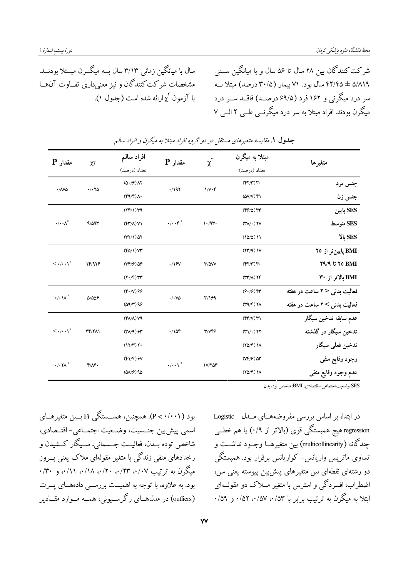سال با میانگین زمانی ۳/۱۳ سال بــه میگـــرن مبـــتلا بودنـــد. مشخصات شركت كنندگان و نيز معنىدارى تفــاوت آن.هــا با آزمون  $\chi^{\rm v}$ ارائه شده است (جدول ۱).

شرکت کنندگان بین ۲۸ سال تا ۵۶ سال و با میانگین ســنی ۵/۸۱۹ ± ۴۲/۴۵ سال بود. ۷۱ بیمار (۳۰/۵ درصد) مبتلا به سر درد میگرنی و ۱۶۲ فرد (۶۹/۵ درصـد) فاقــد ســر درد میگرن بودند. افراد مبتلا به سر درد میگرنبی طبی ۲ البی ۷

| مقدار P                             | $\chi\tau$                        | افراد سالم<br>تعداد (درصد)                             | مقدار P                      | $\chi^{\check{}}$               | مبتلا به میگرن<br>تعداد (درصد)                            | متغيرها                      |
|-------------------------------------|-----------------------------------|--------------------------------------------------------|------------------------------|---------------------------------|-----------------------------------------------------------|------------------------------|
| $\cdot$ / $N\Delta$                 |                                   | $(\Delta \cdot 9)$ $\Lambda$                           |                              | $1/N \cdot F$                   | (FY/Y)Y                                                   |                              |
|                                     | $\cdot$ / $\cdot$ $\cdot$ $\cdot$ | (FY)                                                   | .7197                        |                                 | $(\Delta V/V)$ ۴۱                                         | جنس مرد                      |
|                                     |                                   |                                                        |                              |                                 |                                                           | جنس زن                       |
|                                     | 9/09r                             | $(YF/\mathcal{V})$ rq                                  |                              | $\mathcal{N} \cdot \mathcal{A}$ | $(F$ $F/0)$                                               | SES پايين                    |
| $\cdot/\cdot\cdot\wedge^*$          |                                   | $(\mathfrak{f}\mathfrak{r}'/\Lambda)$ V)               | $\cdot/\cdot\cdot$ ۴*        |                                 |                                                           | SES متوسط                    |
|                                     |                                   | $(TY/1)$ $\Delta Y$                                    |                              |                                 | (10/0) 11                                                 | بالا                         |
| $\langle \cdot/\cdot\cdot\rangle^*$ | 14/978                            | $(F\Delta/\Gamma)$ VY                                  | $\cdot$ /19V                 | $T/\Delta V$                    | (YY/A)                                                    | BMI پایینتر از ۲۵            |
|                                     |                                   | $(\Upsilon \Upsilon / 9) \Delta 9$                     |                              |                                 | (FY/Y)Y'                                                  | $Y4/9$ i $Y0$ BMI            |
|                                     |                                   | $(Y \cdot / F)$                                        |                              |                                 | $(\uparrow \uparrow \uparrow / \wedge) \uparrow \uparrow$ | BMI بالاتر از ۳۰             |
| $\cdot/\cdot\Lambda^*$              | 0/009                             | $(F \cdot N)$ 99                                       | $\cdot$ / $\cdot$ V $\Delta$ | 3199                            | $(9.79)$ fr                                               | فعالیت بدنی <۲ ساعت در هفته  |
|                                     |                                   | (09/T)99                                               |                              |                                 | $(\Upsilon 4/\Upsilon)$ YA                                | فعالیت بدنی > ۲ ساعت در هفته |
| $\langle \cdot/\cdot\cdot\rangle^*$ | <b>٣۴/۴٨١</b>                     | $(FA/A)$ $VA$                                          | $\cdot$ 104                  | <b>٣/٧۴۶</b>                    | $(\mathfrak{f}\mathfrak{r}'/\mathcal{V})\mathfrak{r}'$    | عدم سابقه تدخين سيگار        |
|                                     |                                   | $(\uparrow \wedge \wedge \uparrow)$ $\curvearrowright$ |                              |                                 | $(\mathbf{r})/\cdot$ ) $\mathbf{r}$                       | تدخین سیگار در گذشته         |
|                                     |                                   | $(17/T)$ $\gamma$ .                                    |                              |                                 | $(Y\Delta/F)$ $\Lambda$                                   | تدخين فعلمي سيگار            |
| $\cdot$ / $\cdot \tau$              | $F/\Lambda F$                     | $(F1/F)$ $\mathcal{F}V$                                | $\cdot/\cdots$               | $1V/Y\Delta f$                  | $(YF/F)$ $\Delta T$                                       | وجود وقايع منفى              |
|                                     |                                   | $(\Delta \mathcal{N} \mathcal{F})$ 90                  |                              |                                 | $(Y\Delta/F)$ $\Lambda$                                   | عدم وجود وقايع منفي          |

جدول ۱. مقایسه متغیرهای مستقل در دو گروه افراد مبتلا به میگرن و افراد سالم

SES: وضعيت اجتماعي-اقتصادي، BMI: شاخص توده بدن

بود (P< ۰/۰۰۱). همچنین، همبــستگی Fi بــین متغیرهــای اسمي پيش بين جنسيت، وضعيت اجتمــاعي- اقتــصادي، شاخص توده بــدن، فعاليــت جــسماني، ســيگار كــشيدن و رخدادهای منفی زندگی با متغیر مقولهای ملاک یعنی بــروز میگرن به ترتیب ۰/۱۷، ۰/۲۳، ۰/۲۰، ۰/۱۸، ۰/۳۰، و ۰/۱۰ بود. به علاوه، با توجه به اهمیــت بررســی دادههــای پــرت (outliers) در مدل هــای رگر ســیونی، همــه مــوارد مقــادیر در ابتدا، بر اساس بررسی مفروضههای مسدل Logistic regression هیج همبستگی قوی (بالاتر از ۰/۹) یا هم خطــی چندگانه (multicollinearity) بین متغیرهــا وجــود نداشــت و تساوی ماتریس واریانس- کواریانس برقرار بود. همبستگی دو رشتهای نقطهای بین متغیرهای پیش بین پیوسته یعنی سن، اضطراب، افسردگی و استرس با متغیر مــلاک دو مقولــهای ابتلا به میگرن به ترتیب برابر با ۰/۵۳، ۰/۵۷، ۵۲/۰ و ۰/۵۹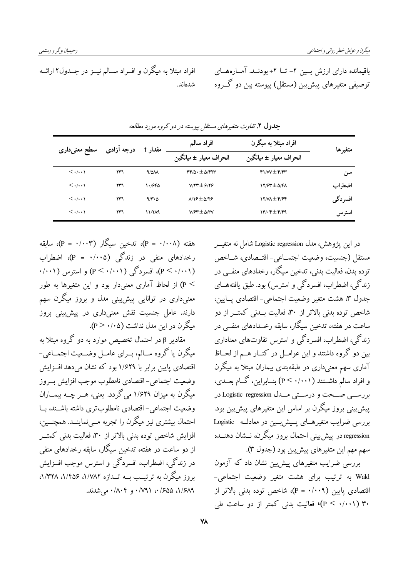افراد مبتلا به میگرن و افــراد ســالم نیــز در جــدول۲ ارائــه باقیمانده دارای ارزش بسین ۲- تــا ۲+ بودنــد. آمــارههــای توصیفی متغیرهای پیش بین (مستقل) پیوسته بین دو گــروه شدهاند.

| سطح معنىدارى                      | درجه آزادی | مقدار t       | افراد سالم                      | افراد مبتلا به میگرن                      | متغيرها |
|-----------------------------------|------------|---------------|---------------------------------|-------------------------------------------|---------|
|                                   |            |               | انحراف معیار ± میانگین          | انحراف معيار ± ميانگين                    |         |
| $\langle \cdot/\cdot\cdot\rangle$ | ۲۳۱        | $4/\Delta M$  | $FF/\Delta_1 \pm \Delta/FYY$    | $f$ $\mathcal{W}$ $\pm$ $f$ $\mathcal{W}$ | سن      |
| $\langle \cdot/\cdot\cdot\rangle$ | ۲۳۱        | ۱۰/۶۴۵        | $V/Y^* \pm 9/Y9$                | $17/97 \pm 0/81$                          | اضطراب  |
| $\langle \cdot/\cdot\cdot\rangle$ | ۲۳۱        | 9/1.0         | $\lambda$ 19 $\pm$ $\Delta$ /29 | $17/N\pm 6/96$                            | افسردگی |
| $\langle \cdot/\cdot\cdot\rangle$ | ۲۳۱        | <b>11/749</b> | $V/FT \pm \Delta T$             | $\gamma$ . $\epsilon \pm \epsilon$        | استرس   |

جدول ۲. تفاوت متغیرهای مستقل پیوسته در دو گروه مورد مطالعه

هفته (۲۰۰۸) = P)، تدخين سيگار (۲۰۰۳) = P)، سابقه رخدادهای منفی در زندگی (۲۰۰۵ = P)، اضطراب (P < ۰/۰۰۱)، افسردگی (P < ۰/۰۰۱) و استرس (۰/۰۰۱). > P) از لحاظ آماری معنیدار بود و این متغیرها به طور معنی(داری در توانایی پیش پینی مدل و بروز میگرن سهم دارند. عامل جنسیت نقش معنیداری در پیش پینی بروز میگرن در این مدل نداشت (۲۰/۰۵).

مقادیر β در احتمال تخصیص موارد به دو گروه مبتلا به میگرن یا گروه ســالم، بــرای عامــل وضــعیت اجتمــاعی-اقتصادی پایین برابر با ۱/۶۲۹ بود که نشان می دهد افــزایش وضعيت اجتماعي-اقتصادي نامطلوب موجب افزايش بسروز میگرن به میزان ۱/۶۲۹ می گردد. یعنی، هــر چــه بیمــاران وضعيت اجتماعي- اقتصادي نامطلوب ترى داشته باشـند، بــا احتمال بیشتری نیز میگرن را تجربه مے نماینــد. همچنــین، افزایش شاخص توده بدنی بالاتر از ۳۰، فعالیت بدنی کمتـــر از دو ساعت در هفته، تدخین سیگار، سابقه رخدادهای منفی در زندگی، اضطراب، افسردگی و استرس موجب افــزایش بروز میگرن به ترتیــب بــه انــدازه ۸/۷۸۲، ۱/۴۵۶، ۸/۳۲۸، ۰/۶۸۹ ۶۵۵٪۰، ۰/۷۹۱ و ۰/۸۰۴ میشدند.

در اين يژوهش، مدل Logistic regression شامل نه متغيــر مستقل (جنسيت، وضعيت اجتمــاعي- اقتــصادي، شــاخص توده بدن، فعالیت بدنی، تدخین سیگار، رخدادهای منفــی در زندگی، اضطراب، افسردگی و استرس) بود. طبق یافتههــای جدول ٣، هشت متغير وضعيت اجتماعي- اقتصادي يــايين، شاخص توده بدنی بالاتر از ۳۰، فعالیت بــدنی کمتــر از دو ساعت در هفته، تدخین سیگار، سابقه رخــدادهای منفــی در زندگی، اضطراب، افسردگی و استرس تفاوتهای معناداری بین دو گروه داشتند و این عوامــل در کنــار هــم از لحــاظ آماری سهم معنیداری در طبقهبندی بیماران مبتلا به میگرن و افراد سالم داشــتند (P < ۰/۰۰۱) بنــابراين، گــام بعــدي، بررسهي صحت و درستي مــدل Logistic regression در پیش بینی بروز میگرن بر اساس این متغیرهای پیش بین بود. بررسی ضرایب متغیرهـای پـیش بـین در معادلـه Logistic regression در پیش بینی احتمال بروز میگرن، نــشان دهنــده سهم مهم اين متغيرهاي پيشيين بود (جدول ٣).

بررسی ضرایب متغیرهای پیش بین نشان داد که آزمون Wald به ترتیب برای هشت متغیر وضعیت اجتماعی-اقتصادی پایین (۲۰۰۹ = P)، شاخص توده بدنی بالاتر از ۳۰ (p < ۰/۰۰۱)، فعالیت بدنی کمتر از دو ساعت طی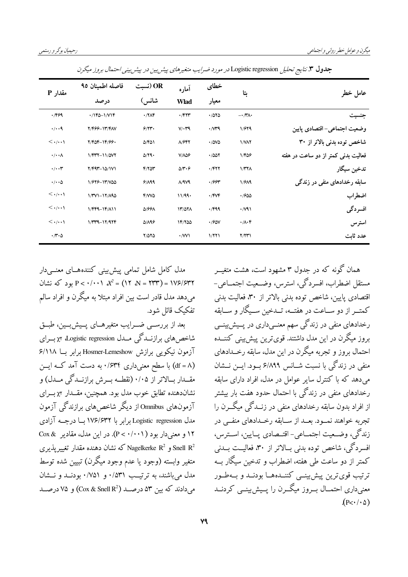| مقدار P                           | فاصله اطمينان ٩٥    | OR (نسبت<br>آماره<br>شانس)<br><b>Wlad</b> | خطاى                               |                    |                          |                                     |
|-----------------------------------|---------------------|-------------------------------------------|------------------------------------|--------------------|--------------------------|-------------------------------------|
|                                   | در صد               |                                           |                                    | معيار              | بتا                      | عامل خطر                            |
| .799                              | $\cdot$ /140-1/V14  | $\cdot$ / $\gamma$                        | $\cdot$ $/$ ۴۲۳                    | .7080              | $-\cdot/\tau\wedge\cdot$ | جنسيت                               |
| $\cdot/\cdot\cdot$ ٩              | <b>Y/FGG-1۳/FAV</b> | 9/77                                      | $V/\cdot Y^q$                      | $\cdot$ / $\gamma$ | 1/979                    | وضعيت اجتماعي– اقتصادي يايين        |
| $\langle \cdot/\cdot\cdot\rangle$ | 7/404-14/66.        | $\Delta$ /۴۵۱                             | A/FY                               | $\cdot$ /0V0       | <b>I/VAY</b>             | شاخص توده بدنی بالاتر از ۳۰         |
| $\cdot/\cdot\cdot\wedge$          | 1/ 977 - 11/ 47     | $\Delta$ /٢٩٠                             | $V/\lambda\Delta\mathcal{F}$       | .7007              | 1/406                    | فعالیت بدنی کمتر از دو ساعت در هفته |
| $\cdot/\cdot\cdot$ ۳              | $Y/F4Y-10/1V1$      | $F/Y$ $T$                                 | $\Delta/\mathbf{r}\cdot\mathbf{r}$ | $\cdot$ $/$ ۴۲۲    | 1/TY                     | تدخين سيگار                         |
| $\cdot/\cdot\cdot\Delta$          | 1/979-17/00         | 9/199                                     | $\Lambda$ /9 $\Lambda$ 9           | .799               | 1/9A9                    | سابقه رخدادهای منفی در زندگے ٖ      |
| $\langle \cdot/\cdot\cdot\rangle$ | $1/TV1 - 17/190$    | $FM\delta$                                | 11/99.                             | $\cdot$ /FVF       | .7900                    | اضطراب                              |
| $\langle \cdot/\cdot\cdot\rangle$ | $1/FFA-1F/AN1$      | <b>D/991</b>                              | 11/071                             | .799               | $\cdot$ //91             | افسردگی                             |
| $\langle \cdot/\cdot\cdot\rangle$ | $1/TT9-17/97F$      | <b>DIA98</b>                              | 14/700                             | $\cdot$ / $90V$    | $\cdot/\lambda\cdot f$   | استرس                               |
| $\cdot \pi \cdot \Delta$          |                     | $Y/\Delta Y \Delta$                       | $\cdot$ /W)                        | 1/771              | Y/YY                     | عدد ثابت                            |

جدول ۳. نتایج تحلیل Logistic regression در مورد ضرایب متغیرهای پیش بین در پیشر بینی احتمال بروز میگرن

مدل کامل شامل تمامی پیش بینی کنندههــای معنــیدار بود که نشان P <  $\cdot$ / $\cdot \cdot \cdot x^2 = (15 \text{ N} - 177) = 115$  (1947) می دهد مدل قادر است بین افراد مبتلا به میگرن و افراد سالم تفكيك قائل شود.

بعد از بررســي ضــرايب متغيرهــاي پــيش بــين، طبــق شاخص های برازنسدگی مسدل Logistic regression برای آزمون نیکویی برازش Hosmer-Lemeshow برابر بسا ۶/۱۱۸ (df = ۸) با سطح معنی داری ۰/۶۳۴ به دست آمد کــه ایــن مقــدار بــالاتر از ۰/۰۵ (نقطــه بــرش برازنــدگی مــدل) و نشان دهنده تطابق خوب مدل بود. همچنین، مقــدار x٢ بــرای آزمونهای Omnibus از دیگر شاخص های برازندگی آزمون مدل Logistic regression برابر با ۱۷۶/۶۳۲ بسا درجــه آزادي ۱۲ و معنی دار بود ( P < ۰/۰۰۱). در این مدل، مقادیر Cox & و Nagelkerke R<sup>2</sup> و Nagelkerke R<sup>2</sup> كه نشان دهنده مقدار تغییر بذیری متغير وابسته (وجود يا عدم وجود ميگرن) تبيين شده توسط مدل می باشند، به ترتیب ۰/۵۳۱ و ۰/۷۵۱ بودنــد و نــشان می دادند که بین ۵۳ درصد (Cox & Snell R<sup>2</sup>) و ۷۵ درصد همان گونه که در حدول ۳ مشهود است، هشت متغب مستقل اضطراب، افسردگی، استرس، وضــعیت اجتمــاعی-اقتصادي پايين، شاخص توده بدني بالاتر از ۳۰، فعاليت بدني كمتب از دو سباعت در هفتیه، تبدخین سبیگار و سبابقه رخدادهای منفی در زندگی سهم معنــیداری در پــیش:ینــی بروز میگرن در این مدل داشتند. قوی ترین پیش بینی کننــده احتمال بروز و تجربه میگرن در این مدل، سابقه رخــدادهای منفی در زندگی با نسبت شــانس ۶/۸۹۹ بــود. ایــن نــشان می دهد که با کنترل سایر عوامل در مدل، افراد دارای سابقه رخدادهای منفی در زندگی با احتمال حدود هفت بار بیشتر از افراد بدون سابقه رخدادهای منفی در زنــدگی میگــرن را تجربه خواهند نمـود. بعــد از ســابقه رخــدادهای منفــی در زندگي، وضـعيت اجتمــاعي- اقتــصادي پــايين، اســترس، افسردگی، شاخص توده بدنی بــالاتر از ۳۰، فعالیــت بــدنی کمتر از دو ساعت طی هفته، اضطراب و تدخین سیگار بــه ترتيب قوى ترين پيش بينسي كننسده هسا بودنسد و بسه طسور معنی داری احتمــال بــروز میگــرن را پــیش بینــی کردنــد  $(p<\cdot/\cdot \Delta)$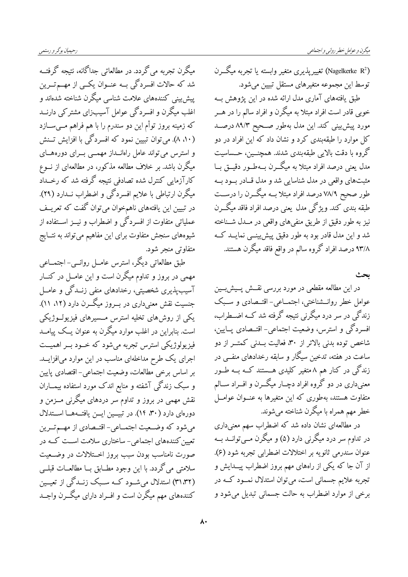میگرن تجربه می گردد. در مطالعاتی جداگانه، نتیجه گرفتــه شد که حالات افسردگی بــه عنــوان یکــی از مهــمتــرین پیش بینی کنندههای علامت شناسی میگرن شناخته شدهاند و اغلب میگرن و افسردگی عوامل آسیبزای مشترکی دارنــد که زمینه بروز توأم این دو سندرم را با هم فراهم مــیســازد (۵۰ ۸). می توان تبیین نمود که افسردگی با افزایش تسنش و استرس می تواند عامل راهانــداز مهمــی بــرای دورههــای میگرن باشد. بر خلاف مطالعه مذکور، در مطالعهای از نــوع کارآزمایی کنترل شده تصادفی نتیجه گرفته شد که رخــداد میگرن ارتباطی با علایم افسردگی و اضطراب نــدارد (۲۹). در تبیین این یافتههای ناهمخوان میتوان گفت که تعریــف عملیاتی متفاوت از افسردگی و اضطراب و نیــز اســتفاده از شيوههاي سنجش متفاوت براي اين مفاهيم مي تواند به نتــايج متفاوتي منجر شود.

طبق مطالعاتی دیگر، استرس عامــل روانــی- اجتمــاعی مهمی در بروز و تداوم میگرن است و این عامــل در کنــار آسیبپذیری شخصیتی، رخدادهای منفی زنــدگی و عامــل جنسیت نقش معنیداری در بــروز میگــرن دارد (۵۲ ۱۱). یکی از روشهای تخلیه استرس مــسیرهای فیزیولــوژیکی است. بنابراین در اغلب موارد میگرن به عنوان یــک پیامــد فیزیولوژیکی استرس تجربه میشود که خــود بــر اهمیــت اجرای یک طرح مداخلهای مناسب در این موارد میافزایــد. بر اساس برخي مطالعات، وضعيت اجتماعي- اقتصادي يايين و سبک زندگی آشفته و منابع اندک مورد استفاده بیمــاران نقش مهمی در بروز و تداوم سر دردهای میگرنی مــزمن و دورمای دارد (۳۰، ۱۴). در تبیسین ایس یافتـههـا اسـتدلال می شود که وضعیت اجتمـاعی- اقتـصادی از مهـم تــرین تعیین کنندههای اجتماعی- ساختاری سلامت اســت کــه در صورت نامناسب بودن سبب بروز اخــتلالات در وضــعيت سلامتي مي گردد. با اين وجود مطــابق بــا مطالعــات قبلــي (۳۱٬۳۲) استدلال میشود کـه سـبک زنــدگی از تعیــین کنندههای مهم میگرن است و افــراد دارای میگــرن واجــد

(Nagelkerke R<sup>2</sup>) تغییر پذیری متغیر وابسته یا تجربه میگــرن توسط این مجموعه متغیرهای مستقل تبیین می شود. طبق یافتههای آماری مدل ارائه شده در این پژوهش بــه خوبی قادر است افراد مبتلا به میگرن و افراد سالم را در هـــر مورد پیش بینی کند. این مدل بهطور صـحیح ۸۹/۳ درصــد کل موارد را طبقهبندی کرد و نشان داد که این افراد در دو گروه با دقت بالایی طبقهبندی شدند. همچنــین، حــساسیت مدل یعنی درصد افراد مبتلا به میگــرن بــهطــور دقیـــق بــا مثبتهای واقعی در مدل شناسایی شد و مدل قـادر بــود بــه طور صحیح ۷۸/۹ درصد افراد مبتلا بــه میگـــرن را درســـت طبقه بندی کند. ویژگی مدل یعنی درصد افراد فاقد میگــرن نيز به طور دقيق از طريق منفي هاي واقعي در مــدل شــناخته .<br>شد و این مدل قادر بود به طور دقیق پیش پینسی نمایــد کــه ۹۳/۸ درصد افراد گروه سالم در واقع فاقد میگرن هستند.

ىحٹ

در این مطالعه مقطعی در مورد بررسی نقــش پــیشبــین عوامل خطر روانــشناختی، اجتمــاعی- اقتــصادی و ســبک زندگی در سر درد میگرنی نتیجه گرفته شد کــه اضــطراب، افسردگی و استرس، وضعیت اجتماعی- اقتــصادی پــایین، شاخص توده بدنی بالاتر از ۳۰، فعالیت بــدنی کمتـــر از دو ساعت در هفته، تدخین سیگار و سابقه رخدادهای منفــی در زندگی در کنار هم ۸ متغیر کلیدی هــستند کــه بــه طــور معنیداری در دو گروه افراد دچــار میگـــرن و افـــراد ســـالم متفاوت هستند، بهطوری که این متغیرها به عنــوان عوامــل خطر مهم همراه با میگرن شناخته میشوند.

در مطالعهای نشان داده شد که اضطراب سهم معنیداری در تداوم سر درد میگرنی دارد (۵) و میگرن مــیتوانــد بــه عنوان سندرمی ثانویه بر اختلالات اضطرابی تجربه شود (۶). از آن جا که یکی از راههای مهم بروز اضطراب پیــدایش و تجربه علایم جسمانی است، می توان استدلال نمــود کــه در برخي از موارد اضطراب به حالت جسماني تبديل مي شود و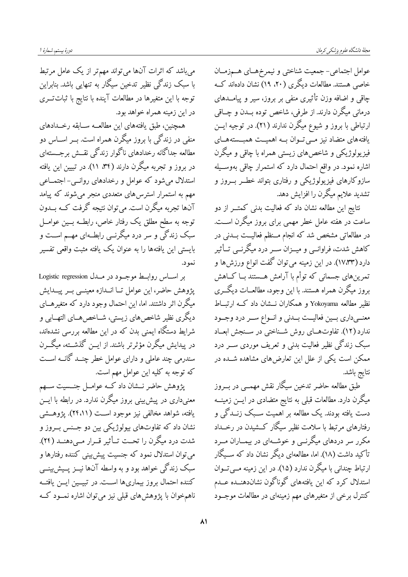عوامل اجتماعي- جمعيت شناختي و نيمرخهـاي هــمزمــان خاصی هستند. مطالعات دیگری (۲۰، ۱۹) نشان دادهاند کــه چاقی و اضافه وزن تأثیری منفی بر بروز، سیر و پیامــدهای درمانی میگرن دارند. از طرفی، شاخص توده بــدن و چــاقی ارتباطی با بروز و شیوع میگرن ندارند (۲۱). در توجیه ایــن یافتههای متضاد نیز مبی توان بـه اهمیــت همبــستههــای فیزیولوژیکی و شاخصهای زیستی همراه با چاقی و میگرن اشاره نمود. در واقع احتمال دارد که استمرار چاق<sub>ی</sub> بهوســیله سازوکارهای فیزیولوژیکی و رفتاری بتواند خطــر بـــروز و تشدید علایم میگرن را افزایش دهد.

نتايج اين مطالعه نشان داد كه فعاليت بدني كمتـــر از دو ساعت در هفته عامل خطر مهمی برای بروز میگرن اســت. در مطالعاتی مشخص شد که انجام مــنظم فعالیــت بــدنی در کاهش شدت، فراوانسی و میــزان ســر درد میگرنــی تــأثیر دارد (۱۷٬۳۳). در این زمینه میتوان گفت انواع ورزش ها و تمرین های جسمانی که توأم با آرامش هــستندّ بــا کـــاهش بروز میگرن همراه هستند. با این وجود، مطالعــات دیگـــری نظیر مطالعه Yokoyama و همکاران نـــشان داد کـــه ارتبـــاط معنــيداري بــين فعاليــت بــدنى و انــواع ســر درد وجــود ندارد (۱۲). تفاوتهای روش شـناختی در سـنجش ابعـاد سبک زندگی نظیر فعالیت بدنی و تعریف موردی ســـر درد ممکن است یکی از علل این تعارض های مشاهده شــده در نتايج باشد.

طبق مطالعه حاضر تدخین سیگار نقش مهمــی در بــروز میگرن دارد. مطالعات قبلی به نتایج متضادی در ایـــن زمینـــه دست یافته بودند. یک مطالعه بر اهمیت سـبک زنــدگی و رفتارهای مرتبط با سلامت نظیر سیگار کــشیدن در رخــداد مکرر سر دردهای میگرنــی و خوشــهای در بیمــاران مــرد تأکید داشت (۱۸). اما، مطالعهای دیگر نشان داد که ســیگار ارتباط چندانی با میگرن ندارد (۱۵). در این زمینه مــیتــوان استدلال کرد که این یافتههای گوناگون نشاندهنــده عــدم کنترل برخی از متغیرهای مهم زمینهای در مطالعات موجــود

می باشد که اثرات آنها میتواند مهمتر از یک عامل مرتبط با سبک زندگی نظیر تدخین سیگار به تنهایی باشد. بنابراین توجه با این متغیرها در مطالعات آینده با نتایج با ثبات تـــری در این زمینه همراه خواهد بود.

همچنین، طبق یافتههای این مطالعــه ســابقه رخــدادهای منفی در زندگی با بروز میگرن همراه است. بــر اســـاس دو مطالعه جداگانه رخدادهای ناگوار زندگی نقــش برجــستهای در بروز و تجربه میگرن دارند (۳۴، ۱۱). در تبیین این یافته استدلال میشود که عوامل و رخدادهای روانسی- اجتمــاعی مهم به استمرار استرس۵لمای متعددی منجر میشوند که پیامد آنها تجربه میگرن است. میتوان نتیجه گرفت کــه بــدون توجه به سطح مطلق یک رفتار خاص، رابطــه بــین عوامــل سبک زندگی و سر درد میگرنــی رابطــهای مهــم اســت و بايستي اين يافتهها را به عنوان يک يافته مثبت واقعي تفسير نمو د.

بر اساس روابط موجبود در مبدل Logistic regression يژوهش حاضر، اين عوامل تــا انــدازه معينــي بــر ييـــدايش میگرن اثر داشتند. اما، این احتمال وجود دارد که متغیرهــای دیگری نظیر شاخصهای زیستی، شــاخصهــای التهــابی و شرایط دستگاه ایمنی بدن که در این مطالعه بررسی نشدهاند، در پیدایش میگرن مؤثرتر باشند. از ایــن گذشــته، میگــرن سندرمی چند عاملی و دارای عوامل خطر چنــد گانــه اســت كه توجه به كليه اين عوامل مهم است.

پژوهش حاضر نـــشان داد کـــه عوامـــل جنـــسيت ســـهم معنیداری در پیش بینی بروز میگرن ندارد. در رابطه با ایــن یافته، شواهد مخالفی نیز موجود اســت (۲۴،۱۱). پژوهــشی نشان داد که تفاوتهای بیولوژیکی بین دو جـنس بــروز و شدت درد میگرن را تحـت تــأثیر قــرار مــی،دهنــد (٢۴). مي توان استدلال نمود كه جنسيت پيش بيني كننده رفتارها و سبک زندگی خواهد بود و به واسطه آنها نیــز پــیش:پینــی كننده احتمال بروز بيماريها اسـت. در تبيــين ايــن يافتــه ناهمخوان با پژوهشهای قبلی نیز میتوان اشاره نمــود کــه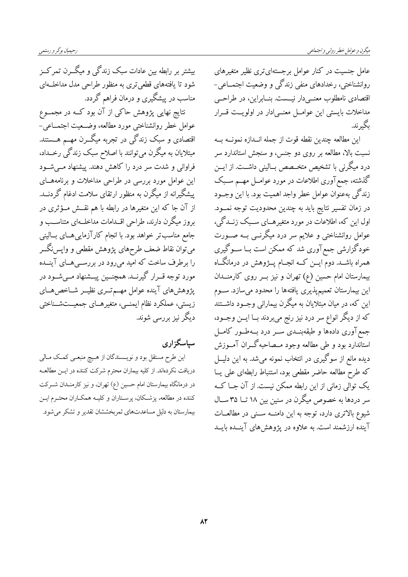عامل جنسیت در کنار عوامل برجستهای تری نظیر متغیرهای روانشناختی، رخدادهای منفی زندگی و وضعیت اجتمــاعی-اقتصادی نامطلوب معنــیدار نیــست. بنــابراین، در طراحــی مداخلات بایستی این عوامــل معنــی\دار در اولویــت قــرار ىگىرند.

اين مطالعه چندين نقطه قوت از جمله اندازه نمونــه بــه نسبت بالا، مطالعه بر روی دو جنس، و سنجش استاندارد سر درد میگرنی با تشخیص متخــصص بــالینی داشــت. از ایـــن گذشته، جمع آوری اطلاعات در مورد عوامــل مهــم ســبک زندگی بهعنوان عوامل خطر واجد اهمیت بود. با این وجــود در زمان تفسیر نتایج باید به چندین محدودیت توجه نمــود. اول این که، اطلاعات در مورد متغیرهــای ســبک زنــدگی، عوامل روانشناختی و علایم سر درد میگرنــی بــه صــورت خودگزارشی جمع آوری شد که ممکن است بــا ســوگیری همراه باشــد. دوم ایـــن کــه انجــام پـــژوهش در درمانگــاه بیمارستان امام حسین (ع) تهران و نیز بــر روی کارمنــدان این بیمارستان تعمیمپذیری یافتهها را محدود میسازد. ســوم این که، در میان مبتلایان به میگرن بیمارانی وجــود داشــتند که از دیگر انواع سر درد نیز رنج میبردند بــا ایـــن وجـــود، جمع آوری دادهها و طبقهبنــدی ســر درد بــهطــور کامــل استاندارد بود و طی مطالعه وجود مــصاحبهگــران آمــوزش دیده مانع از سوگیری در انتخاب نمونه میشد. به این دلیـــل كه طرح مطالعه حاضر مقطعى بود، استنباط رابطهاى على يــا یک توالی زمانی از این رابطه ممکن نیست. از آن جــا کــه سر دردها به خصوص میگرن در سنین بین ۱۸ تــا ۳۵ ســال شیوع بالاتری دارد، توجه به این دامنــه ســنی در مطالعــات آینده ارزشمند است. به علاوه در یژوهش های آینــده بایــد

بیشتر بر رابطه بین عادات سبک زندگی و میگــرن تمر کــز شود تا یافتههای قطعیتری به منظور طراحی مدل مداخلــهای مناسب در پیشگیری و درمان فراهم گردد.

نتایج نهایی پژوهش حاکی از آن بود کــه در مجمــوع عوامل خطر روانشناختی مورد مطالعه، وضـحیت اجتمــاعی-اقتصادی و سبک زندگی در تجربه میگــرن مهــم هـــستند. مبتلایان به میگرن میتوانند با اصلاح سبک زندگی رخــداد، فراوانی و شدت سر درد را کاهش دهند. پیشنهاد مــیشــود این عوامل مورد بررسی در طراحی مداخلات و برنامههـای پیشگیرانه از میگرن به منظور ارتقای سلامت ادغام گردنــد. از آن جا که این متغیرها در رابطه با هم نقــش مــُؤثری در بروز میگرن دارند، طراحی اقــدامات مداخلــهای متناســب و جامع مناسب تر خواهد بود. با انجام کارآزمایی هــای بــالینی میتوان نقاط ضعف طرحهای پژوهش مقطعی و واپس،نگــر را برطرف ساخت که امید میرود در بررســیهــای آینــده مورد توجه قــرار گیرنــد. همچنــین پیــشنهاد مــیشــود در پژوهشهای آینده عوامل مهــمتــری نظیــر شــاخصهــای زیستی، عملکرد نظام ایمنبی، متغیرهــای جمعیــتشــناختی دیگر نیز بررسی شوند.

سیاسگزاری

این طرح مستقل بود و نویسمندگان از هـیچ منبعـی کمـک مـالی دریافت نکردهاند. از کلیه بیماران محترم شرکت کننده در ایــن مطالعــه در درمانگاه بیمارستان امام حسین (ع) تهران، و نیز کارمنــدان شــرکت کننده در مطالعه، پزشکان، پرسـتاران و کلیــه همکــاران محتــرم ایــن بیمارستان به دلیل مساعدتهای ثمربخششان تقدیر و تشکر می شود.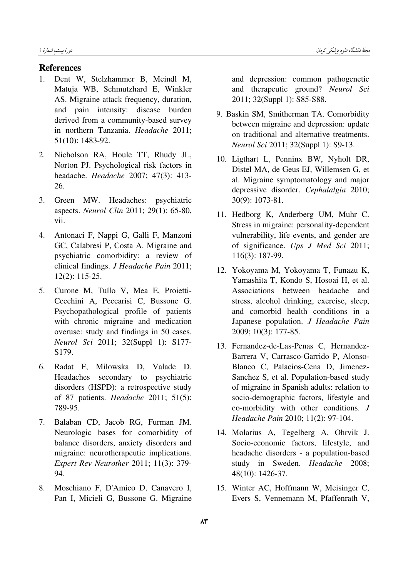### References

- 1. Dent W, Stelzhammer B, Meindl M, Matuja WB, Schmutzhard E, Winkler AS. Migraine attack frequency, duration, and pain intensity: disease burden derived from a community-based survey in northern Tanzania. Headache 2011; 51(10): 1483-92.
- 2. Nicholson RA, Houle TT, Rhudy JL, Norton PJ. Psychological risk factors in headache. Headache 2007; 47(3): 413- 26.
- 3. Green MW. Headaches: psychiatric aspects. Neurol Clin 2011; 29(1): 65-80, vii.
- 4. Antonaci F, Nappi G, Galli F, Manzoni GC, Calabresi P, Costa A. Migraine and psychiatric comorbidity: a review of clinical findings. J Headache Pain 2011; 12(2): 115-25.
- 5. Curone M, Tullo V, Mea E, Proietti-Cecchini A, Peccarisi C, Bussone G. Psychopathological profile of patients with chronic migraine and medication overuse: study and findings in 50 cases. Neurol Sci 2011; 32(Suppl 1): S177- S179.
- 6. Radat F, Milowska D, Valade D. Headaches secondary to psychiatric disorders (HSPD): a retrospective study of 87 patients. Headache 2011; 51(5): 789-95.
- 7. Balaban CD, Jacob RG, Furman JM. Neurologic bases for comorbidity of balance disorders, anxiety disorders and migraine: neurotherapeutic implications. Expert Rev Neurother 2011; 11(3): 379- 94.
- 8. Moschiano F, D'Amico D, Canavero I, Pan I, Micieli G, Bussone G. Migraine

and depression: common pathogenetic and therapeutic ground? Neurol Sci 2011; 32(Suppl 1): S85-S88.

- 9. Baskin SM, Smitherman TA. Comorbidity between migraine and depression: update on traditional and alternative treatments. Neurol Sci 2011; 32(Suppl 1): S9-13.
- 10. Ligthart L, Penninx BW, Nyholt DR, Distel MA, de Geus EJ, Willemsen G, et al. Migraine symptomatology and major depressive disorder. Cephalalgia 2010; 30(9): 1073-81.
- 11. Hedborg K, Anderberg UM, Muhr C. Stress in migraine: personality-dependent vulnerability, life events, and gender are of significance. Ups J Med Sci 2011; 116(3): 187-99.
- 12. Yokoyama M, Yokoyama T, Funazu K, Yamashita T, Kondo S, Hosoai H, et al. Associations between headache and stress, alcohol drinking, exercise, sleep, and comorbid health conditions in a Japanese population. J Headache Pain 2009; 10(3): 177-85.
- 13. Fernandez-de-Las-Penas C, Hernandez-Barrera V, Carrasco-Garrido P, Alonso-Blanco C, Palacios-Cena D, Jimenez-Sanchez S, et al. Population-based study of migraine in Spanish adults: relation to socio-demographic factors, lifestyle and co-morbidity with other conditions. J Headache Pain 2010; 11(2): 97-104.
- 14. Molarius A, Tegelberg A, Ohrvik J. Socio-economic factors, lifestyle, and headache disorders - a population-based study in Sweden. Headache 2008; 48(10): 1426-37.
- 15. Winter AC, Hoffmann W, Meisinger C, Evers S, Vennemann M, Pfaffenrath V,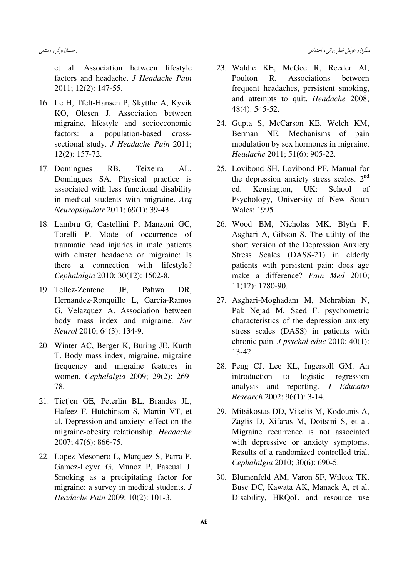et al. Association between lifestyle factors and headache. J Headache Pain 2011; 12(2): 147-55.

- 16. Le H, Tfelt-Hansen P, Skytthe A, Kyvik KO, Olesen J. Association between migraine, lifestyle and socioeconomic factors: a population-based crosssectional study. J Headache Pain 2011; 12(2): 157-72.
- 17. Domingues RB, Teixeira AL, Domingues SA. Physical practice is associated with less functional disability in medical students with migraine. Arq Neuropsiquiatr 2011; 69(1): 39-43.
- 18. Lambru G, Castellini P, Manzoni GC, Torelli P. Mode of occurrence of traumatic head injuries in male patients with cluster headache or migraine: Is there a connection with lifestyle? Cephalalgia 2010; 30(12): 1502-8.
- 19. Tellez-Zenteno JF, Pahwa DR, Hernandez-Ronquillo L, Garcia-Ramos G, Velazquez A. Association between body mass index and migraine. Eur Neurol 2010; 64(3): 134-9.
- 20. Winter AC, Berger K, Buring JE, Kurth T. Body mass index, migraine, migraine frequency and migraine features in women. Cephalalgia 2009; 29(2): 269- 78.
- 21. Tietjen GE, Peterlin BL, Brandes JL, Hafeez F, Hutchinson S, Martin VT, et al. Depression and anxiety: effect on the migraine-obesity relationship. Headache 2007; 47(6): 866-75.
- 22. Lopez-Mesonero L, Marquez S, Parra P, Gamez-Leyva G, Munoz P, Pascual J. Smoking as a precipitating factor for migraine: a survey in medical students. J Headache Pain 2009; 10(2): 101-3.
- 23. Waldie KE, McGee R, Reeder AI, Poulton R. Associations between frequent headaches, persistent smoking, and attempts to quit. Headache 2008; 48(4): 545-52.
- 24. Gupta S, McCarson KE, Welch KM, Berman NE. Mechanisms of pain modulation by sex hormones in migraine. Headache 2011; 51(6): 905-22.
- 25. Lovibond SH, Lovibond PF. Manual for the depression anxiety stress scales.  $2<sup>nd</sup>$ ed. Kensington, UK: School of Psychology, University of New South Wales; 1995.
- 26. Wood BM, Nicholas MK, Blyth F, Asghari A, Gibson S. The utility of the short version of the Depression Anxiety Stress Scales (DASS-21) in elderly patients with persistent pain: does age make a difference? Pain Med 2010; 11(12): 1780-90.
- 27. Asghari-Moghadam M, Mehrabian N, Pak Nejad M, Saed F. psychometric characteristics of the depression anxiety stress scales (DASS) in patients with chronic pain. J psychol educ 2010; 40(1): 13-42.
- 28. Peng CJ, Lee KL, Ingersoll GM. An introduction to logistic regression analysis and reporting. J Educatio Research 2002; 96(1): 3-14.
- 29. Mitsikostas DD, Vikelis M, Kodounis A, Zaglis D, Xifaras M, Doitsini S, et al. Migraine recurrence is not associated with depressive or anxiety symptoms. Results of a randomized controlled trial. Cephalalgia 2010; 30(6): 690-5.
- 30. Blumenfeld AM, Varon SF, Wilcox TK, Buse DC, Kawata AK, Manack A, et al. Disability, HRQoL and resource use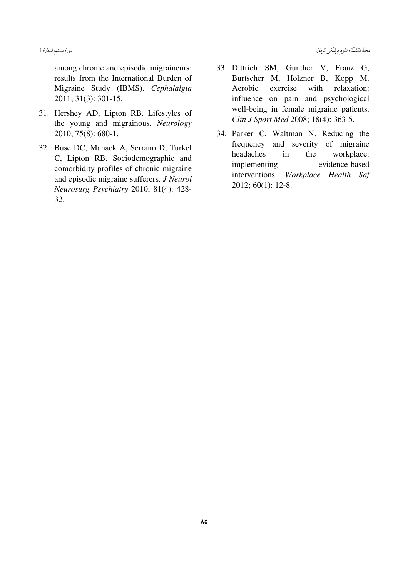among chronic and episodic migraineurs: results from the International Burden of Migraine Study (IBMS). Cephalalgia 2011; 31(3): 301-15.

- 31. Hershey AD, Lipton RB. Lifestyles of the young and migrainous. Neurology 2010; 75(8): 680-1.
- 32. Buse DC, Manack A, Serrano D, Turkel C, Lipton RB. Sociodemographic and comorbidity profiles of chronic migraine and episodic migraine sufferers. J Neurol Neurosurg Psychiatry 2010; 81(4): 428-32.
- 33. Dittrich SM, Gunther V, Franz G, Burtscher M, Holzner B, Kopp M. exercise with relaxation: Aerobic influence on pain and psychological well-being in female migraine patients. Clin J Sport Med 2008; 18(4): 363-5.
- 34. Parker C, Waltman N. Reducing the frequency and severity of migraine headaches workplace:  $in$ the evidence-based implementing interventions. Workplace Health Saf  $2012; 60(1): 12-8.$